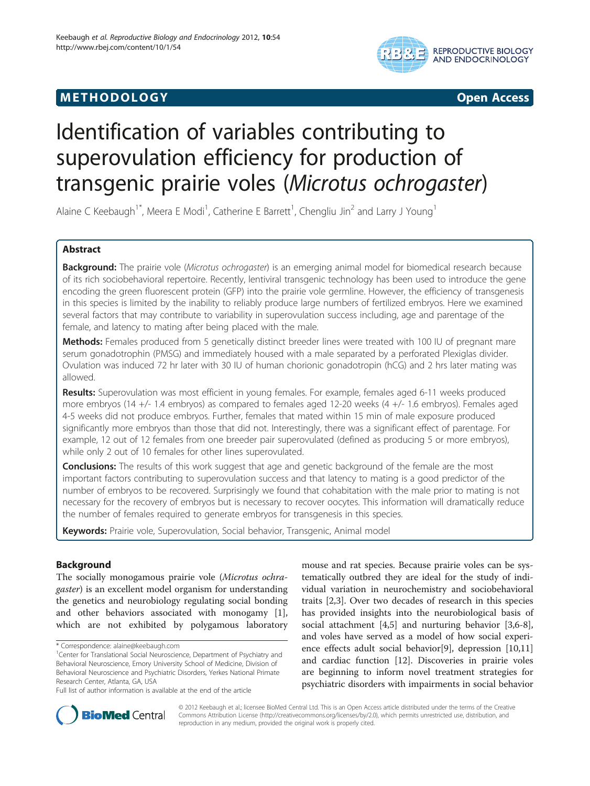

## **METHODOLOGY CONSUMING ACCESS**

# Identification of variables contributing to superovulation efficiency for production of transgenic prairie voles (Microtus ochrogaster)

Alaine C Keebaugh<sup>1\*</sup>, Meera E Modi<sup>1</sup>, Catherine E Barrett<sup>1</sup>, Chengliu Jin<sup>2</sup> and Larry J Young<sup>1</sup>

## Abstract

Background: The prairie vole (Microtus ochrogaster) is an emerging animal model for biomedical research because of its rich sociobehavioral repertoire. Recently, lentiviral transgenic technology has been used to introduce the gene encoding the green fluorescent protein (GFP) into the prairie vole germline. However, the efficiency of transgenesis in this species is limited by the inability to reliably produce large numbers of fertilized embryos. Here we examined several factors that may contribute to variability in superovulation success including, age and parentage of the female, and latency to mating after being placed with the male.

Methods: Females produced from 5 genetically distinct breeder lines were treated with 100 IU of pregnant mare serum gonadotrophin (PMSG) and immediately housed with a male separated by a perforated Plexiglas divider. Ovulation was induced 72 hr later with 30 IU of human chorionic gonadotropin (hCG) and 2 hrs later mating was allowed.

Results: Superovulation was most efficient in young females. For example, females aged 6-11 weeks produced more embryos (14 +/- 1.4 embryos) as compared to females aged 12-20 weeks (4 +/- 1.6 embryos). Females aged 4-5 weeks did not produce embryos. Further, females that mated within 15 min of male exposure produced significantly more embryos than those that did not. Interestingly, there was a significant effect of parentage. For example, 12 out of 12 females from one breeder pair superovulated (defined as producing 5 or more embryos), while only 2 out of 10 females for other lines superovulated.

**Conclusions:** The results of this work suggest that age and genetic background of the female are the most important factors contributing to superovulation success and that latency to mating is a good predictor of the number of embryos to be recovered. Surprisingly we found that cohabitation with the male prior to mating is not necessary for the recovery of embryos but is necessary to recover oocytes. This information will dramatically reduce the number of females required to generate embryos for transgenesis in this species.

Keywords: Prairie vole, Superovulation, Social behavior, Transgenic, Animal model

## Background

The socially monogamous prairie vole (Microtus ochragaster) is an excellent model organism for understanding the genetics and neurobiology regulating social bonding and other behaviors associated with monogamy [\[1](#page-7-0)], which are not exhibited by polygamous laboratory

mouse and rat species. Because prairie voles can be systematically outbred they are ideal for the study of individual variation in neurochemistry and sociobehavioral traits [\[2,3](#page-7-0)]. Over two decades of research in this species has provided insights into the neurobiological basis of social attachment [\[4,5](#page-7-0)] and nurturing behavior [[3,6-8](#page-7-0)], and voles have served as a model of how social experience effects adult social behavior[\[9](#page-7-0)], depression [[10](#page-7-0),[11](#page-7-0)] and cardiac function [[12](#page-7-0)]. Discoveries in prairie voles are beginning to inform novel treatment strategies for psychiatric disorders with impairments in social behavior



© 2012 Keebaugh et al.; licensee BioMed Central Ltd. This is an Open Access article distributed under the terms of the Creative Commons Attribution License [\(http://creativecommons.org/licenses/by/2.0\)](http://creativecommons.org/licenses/by/2.0), which permits unrestricted use, distribution, and reproduction in any medium, provided the original work is properly cited.

<sup>\*</sup> Correspondence: [alaine@keebaugh.com](mailto:alaine@keebaugh.com) <sup>1</sup>

<sup>&</sup>lt;sup>1</sup> Center for Translational Social Neuroscience, Department of Psychiatry and Behavioral Neuroscience, Emory University School of Medicine, Division of Behavioral Neuroscience and Psychiatric Disorders, Yerkes National Primate Research Center, Atlanta, GA, USA

Full list of author information is available at the end of the article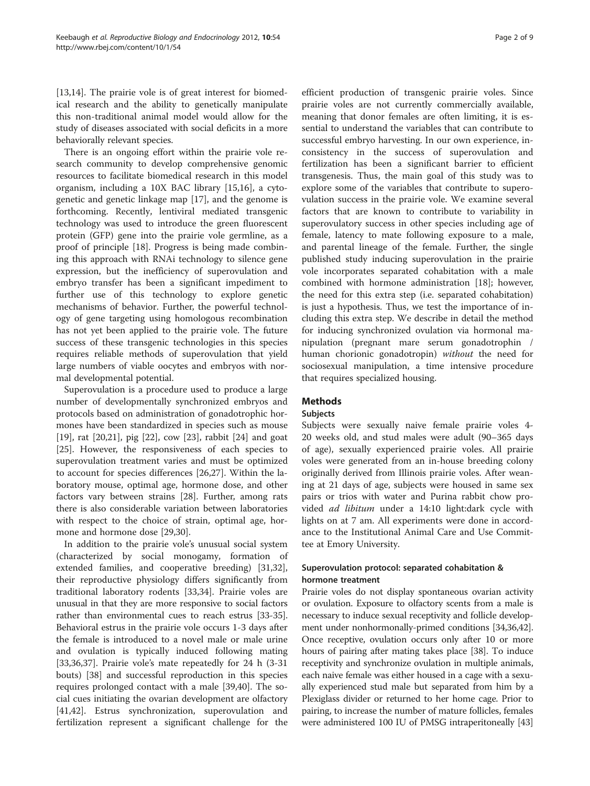[[13,14\]](#page-7-0). The prairie vole is of great interest for biomedical research and the ability to genetically manipulate this non-traditional animal model would allow for the study of diseases associated with social deficits in a more behaviorally relevant species.

There is an ongoing effort within the prairie vole research community to develop comprehensive genomic resources to facilitate biomedical research in this model organism, including a 10X BAC library [[15,16\]](#page-7-0), a cytogenetic and genetic linkage map [[17\]](#page-7-0), and the genome is forthcoming. Recently, lentiviral mediated transgenic technology was used to introduce the green fluorescent protein (GFP) gene into the prairie vole germline, as a proof of principle [[18\]](#page-7-0). Progress is being made combining this approach with RNAi technology to silence gene expression, but the inefficiency of superovulation and embryo transfer has been a significant impediment to further use of this technology to explore genetic mechanisms of behavior. Further, the powerful technology of gene targeting using homologous recombination has not yet been applied to the prairie vole. The future success of these transgenic technologies in this species requires reliable methods of superovulation that yield large numbers of viable oocytes and embryos with normal developmental potential.

Superovulation is a procedure used to produce a large number of developmentally synchronized embryos and protocols based on administration of gonadotrophic hormones have been standardized in species such as mouse [[19\]](#page-7-0), rat [[20](#page-7-0),[21](#page-7-0)], pig [[22](#page-7-0)], cow [\[23](#page-7-0)], rabbit [[24\]](#page-7-0) and goat [[25\]](#page-7-0). However, the responsiveness of each species to superovulation treatment varies and must be optimized to account for species differences [\[26,27\]](#page-7-0). Within the laboratory mouse, optimal age, hormone dose, and other factors vary between strains [\[28\]](#page-7-0). Further, among rats there is also considerable variation between laboratories with respect to the choice of strain, optimal age, hormone and hormone dose [\[29,30](#page-7-0)].

In addition to the prairie vole's unusual social system (characterized by social monogamy, formation of extended families, and cooperative breeding) [\[31,32](#page-7-0)], their reproductive physiology differs significantly from traditional laboratory rodents [\[33,34\]](#page-7-0). Prairie voles are unusual in that they are more responsive to social factors rather than environmental cues to reach estrus [[33](#page-7-0)-[35](#page-7-0)]. Behavioral estrus in the prairie vole occurs 1-3 days after the female is introduced to a novel male or male urine and ovulation is typically induced following mating [[33,36,37\]](#page-7-0). Prairie vole's mate repeatedly for 24 h (3-31 bouts) [\[38\]](#page-7-0) and successful reproduction in this species requires prolonged contact with a male [[39](#page-7-0),[40](#page-7-0)]. The social cues initiating the ovarian development are olfactory [[41,42\]](#page-7-0). Estrus synchronization, superovulation and fertilization represent a significant challenge for the

efficient production of transgenic prairie voles. Since prairie voles are not currently commercially available, meaning that donor females are often limiting, it is essential to understand the variables that can contribute to successful embryo harvesting. In our own experience, inconsistency in the success of superovulation and fertilization has been a significant barrier to efficient transgenesis. Thus, the main goal of this study was to explore some of the variables that contribute to superovulation success in the prairie vole. We examine several factors that are known to contribute to variability in superovulatory success in other species including age of female, latency to mate following exposure to a male, and parental lineage of the female. Further, the single published study inducing superovulation in the prairie vole incorporates separated cohabitation with a male combined with hormone administration [[18\]](#page-7-0); however, the need for this extra step (i.e. separated cohabitation) is just a hypothesis. Thus, we test the importance of including this extra step. We describe in detail the method for inducing synchronized ovulation via hormonal manipulation (pregnant mare serum gonadotrophin / human chorionic gonadotropin) without the need for sociosexual manipulation, a time intensive procedure that requires specialized housing.

## **Methods**

#### Subjects

Subjects were sexually naive female prairie voles 4- 20 weeks old, and stud males were adult (90–365 days of age), sexually experienced prairie voles. All prairie voles were generated from an in-house breeding colony originally derived from Illinois prairie voles. After weaning at 21 days of age, subjects were housed in same sex pairs or trios with water and Purina rabbit chow provided ad libitum under a 14:10 light:dark cycle with lights on at 7 am. All experiments were done in accordance to the Institutional Animal Care and Use Committee at Emory University.

## Superovulation protocol: separated cohabitation & hormone treatment

Prairie voles do not display spontaneous ovarian activity or ovulation. Exposure to olfactory scents from a male is necessary to induce sexual receptivity and follicle development under nonhormonally-primed conditions [\[34,36,42](#page-7-0)]. Once receptive, ovulation occurs only after 10 or more hours of pairing after mating takes place [\[38\]](#page-7-0). To induce receptivity and synchronize ovulation in multiple animals, each naive female was either housed in a cage with a sexually experienced stud male but separated from him by a Plexiglass divider or returned to her home cage. Prior to pairing, to increase the number of mature follicles, females were administered 100 IU of PMSG intraperitoneally [[43](#page-7-0)]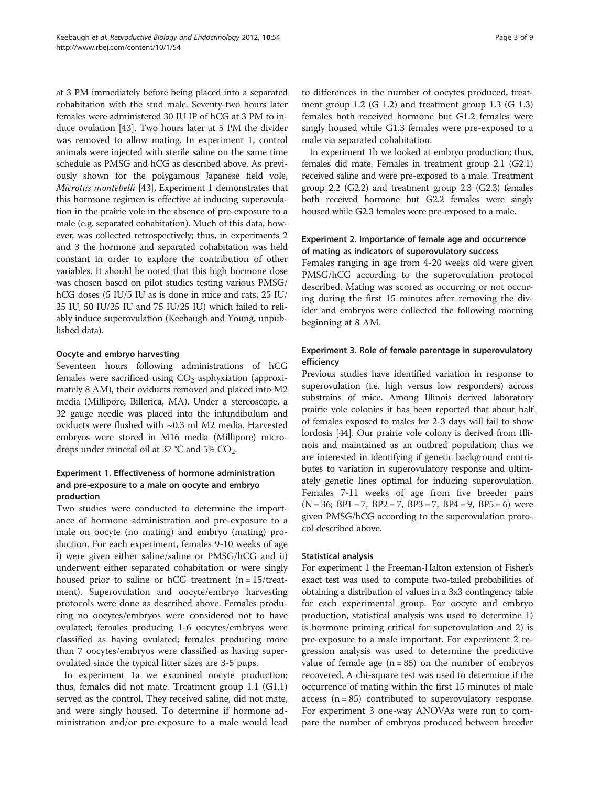at 3 PM immediately before being placed into a separated cohabitation with the stud male. Seventy-two hours later females were administered 30 IU IP of hCG at 3 PM to induce ovulation [[43](#page-7-0)]. Two hours later at 5 PM the divider was removed to allow mating. In experiment 1, control animals were injected with sterile saline on the same time schedule as PMSG and hCG as described above. As previously shown for the polygamous Japanese field vole, Microtus montebelli [[43](#page-7-0)], Experiment 1 demonstrates that this hormone regimen is effective at inducing superovulation in the prairie vole in the absence of pre-exposure to a male (e.g. separated cohabitation). Much of this data, however, was collected retrospectively; thus, in experiments 2 and 3 the hormone and separated cohabitation was held constant in order to explore the contribution of other variables. It should be noted that this high hormone dose was chosen based on pilot studies testing various PMSG/ hCG doses (5 IU/5 IU as is done in mice and rats, 25 IU/ 25 IU, 50 IU/25 IU and 75 IU/25 IU) which failed to reliably induce superovulation (Keebaugh and Young, unpublished data).

## Oocyte and embryo harvesting

Seventeen hours following administrations of hCG females were sacrificed using  $CO<sub>2</sub>$  asphyxiation (approximately 8 AM), their oviducts removed and placed into M2 media (Millipore, Billerica, MA). Under a stereoscope, a 32 gauge needle was placed into the infundibulum and oviducts were flushed with ~0.3 ml M2 media. Harvested embryos were stored in M16 media (Millipore) microdrops under mineral oil at 37 °C and 5%  $CO<sub>2</sub>$ .

## Experiment 1. Effectiveness of hormone administration and pre-exposure to a male on oocyte and embryo production

Two studies were conducted to determine the importance of hormone administration and pre-exposure to a male on oocyte (no mating) and embryo (mating) production. For each experiment, females 9-10 weeks of age i) were given either saline/saline or PMSG/hCG and ii) underwent either separated cohabitation or were singly housed prior to saline or  $hCG$  treatment  $(n = 15$ /treatment). Superovulation and oocyte/embryo harvesting protocols were done as described above. Females producing no oocytes/embryos were considered not to have ovulated; females producing 1-6 oocytes/embryos were classified as having ovulated; females producing more than 7 oocytes/embryos were classified as having superovulated since the typical litter sizes are 3-5 pups.

In experiment 1a we examined oocyte production; thus, females did not mate. Treatment group 1.1 (G1.1) served as the control. They received saline, did not mate, and were singly housed. To determine if hormone administration and/or pre-exposure to a male would lead to differences in the number of oocytes produced, treatment group  $1.2$  (G  $1.2$ ) and treatment group  $1.3$  (G  $1.3$ ) females both received hormone but G1.2 females were singly housed while G1.3 females were pre-exposed to a male via separated cohabitation.

In experiment 1b we looked at embryo production; thus, females did mate. Females in treatment group 2.1 (G2.1) received saline and were pre-exposed to a male. Treatment group 2.2 (G2.2) and treatment group 2.3 (G2.3) females both received hormone but G2.2 females were singly housed while G2.3 females were pre-exposed to a male.

## Experiment 2. Importance of female age and occurrence of mating as indicators of superovulatory success

Females ranging in age from 4-20 weeks old were given PMSG/hCG according to the superovulation protocol described. Mating was scored as occurring or not occuring during the first 15 minutes after removing the divider and embryos were collected the following morning beginning at 8 AM.

## Experiment 3. Role of female parentage in superovulatory efficiency

Previous studies have identified variation in response to superovulation (i.e. high versus low responders) across substrains of mice. Among Illinois derived laboratory prairie vole colonies it has been reported that about half of females exposed to males for 2-3 days will fail to show lordosis [\[44\]](#page-8-0). Our prairie vole colony is derived from Illinois and maintained as an outbred population; thus we are interested in identifying if genetic background contributes to variation in superovulatory response and ultimately genetic lines optimal for inducing superovulation. Females 7-11 weeks of age from five breeder pairs  $(N = 36; BPI = 7, BP2 = 7, BP3 = 7, BP4 = 9, BP5 = 6)$  were given PMSG/hCG according to the superovulation protocol described above.

## Statistical analysis

For experiment 1 the Freeman-Halton extension of Fisher's exact test was used to compute two-tailed probabilities of obtaining a distribution of values in a 3x3 contingency table for each experimental group. For oocyte and embryo production, statistical analysis was used to determine 1) is hormone priming critical for superovulation and 2) is pre-exposure to a male important. For experiment 2 regression analysis was used to determine the predictive value of female age  $(n = 85)$  on the number of embryos recovered. A chi-square test was used to determine if the occurrence of mating within the first 15 minutes of male access  $(n = 85)$  contributed to superovulatory response. For experiment 3 one-way ANOVAs were run to compare the number of embryos produced between breeder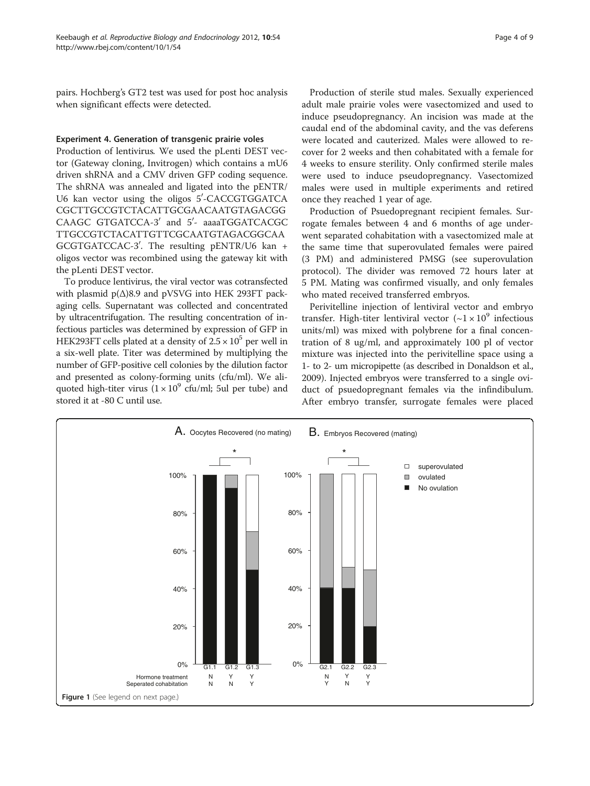pairs. Hochberg's GT2 test was used for post hoc analysis when significant effects were detected.

#### Experiment 4. Generation of transgenic prairie voles

Production of lentivirus. We used the pLenti DEST vector (Gateway cloning, Invitrogen) which contains a mU6 driven shRNA and a CMV driven GFP coding sequence. The shRNA was annealed and ligated into the pENTR/ U6 kan vector using the oligos 5'-CACCGTGGATCA CGCTTGCCGTCTACATTGCGAACAATGTAGACGG CAAGC GTGATCCA-3' and 5'- aaaaTGGATCACGC TTGCCGTCTACATTGTTCGCAATGTAGACGGCAA GCGTGATCCAC-3'. The resulting pENTR/U6 kan + oligos vector was recombined using the gateway kit with the pLenti DEST vector.

To produce lentivirus, the viral vector was cotransfected with plasmid p(Δ)8.9 and pVSVG into HEK 293FT packaging cells. Supernatant was collected and concentrated by ultracentrifugation. The resulting concentration of infectious particles was determined by expression of GFP in HEK293FT cells plated at a density of  $2.5 \times 10^5$  per well in a six-well plate. Titer was determined by multiplying the number of GFP-positive cell colonies by the dilution factor and presented as colony-forming units (cfu/ml). We aliquoted high-titer virus  $(1 \times 10^9 \text{ cfta/m}]$ ; 5ul per tube) and stored it at -80 C until use.

Production of sterile stud males. Sexually experienced adult male prairie voles were vasectomized and used to induce pseudopregnancy. An incision was made at the caudal end of the abdominal cavity, and the vas deferens were located and cauterized. Males were allowed to recover for 2 weeks and then cohabitated with a female for 4 weeks to ensure sterility. Only confirmed sterile males were used to induce pseudopregnancy. Vasectomized males were used in multiple experiments and retired once they reached 1 year of age.

Production of Psuedopregnant recipient females. Surrogate females between 4 and 6 months of age underwent separated cohabitation with a vasectomized male at the same time that superovulated females were paired (3 PM) and administered PMSG (see superovulation protocol). The divider was removed 72 hours later at 5 PM. Mating was confirmed visually, and only females who mated received transferred embryos.

Perivitelline injection of lentiviral vector and embryo transfer. High-titer lentiviral vector  $({\sim}1 \times 10^9$  infectious units/ml) was mixed with polybrene for a final concentration of 8 ug/ml, and approximately 100 pl of vector mixture was injected into the perivitelline space using a 1- to 2- um micropipette (as described in Donaldson et al., 2009). Injected embryos were transferred to a single oviduct of psuedopregnant females via the infindibulum. After embryo transfer, surrogate females were placed

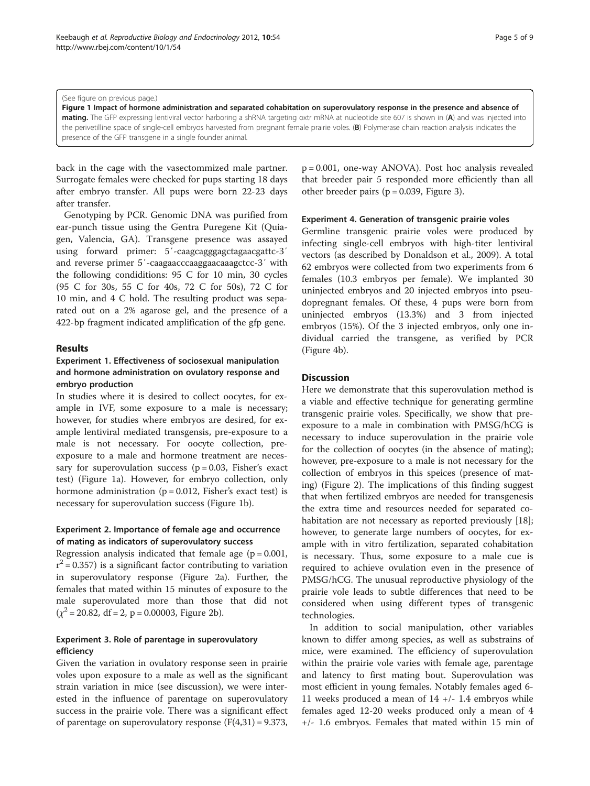#### (See figure on previous page.)

Figure 1 Impact of hormone administration and separated cohabitation on superovulatory response in the presence and absence of mating. The GFP expressing lentiviral vector harboring a shRNA targeting oxtr mRNA at nucleotide site 607 is shown in (A) and was injected into the perivetilline space of single-cell embryos harvested from pregnant female prairie voles. (B) Polymerase chain reaction analysis indicates the presence of the GFP transgene in a single founder animal.

back in the cage with the vasectommized male partner. Surrogate females were checked for pups starting 18 days after embryo transfer. All pups were born 22-23 days after transfer.

Genotyping by PCR. Genomic DNA was purified from ear-punch tissue using the Gentra Puregene Kit (Quiagen, Valencia, GA). Transgene presence was assayed using forward primer: 5′-caagcagggagctagaacgattc-3′ and reverse primer 5′-caagaacccaaggaacaaagctcc-3′ with the following condiditions: 95 C for 10 min, 30 cycles (95 C for 30s, 55 C for 40s, 72 C for 50s), 72 C for 10 min, and 4 C hold. The resulting product was separated out on a 2% agarose gel, and the presence of a 422-bp fragment indicated amplification of the gfp gene.

#### Results

## Experiment 1. Effectiveness of sociosexual manipulation and hormone administration on ovulatory response and embryo production

In studies where it is desired to collect oocytes, for example in IVF, some exposure to a male is necessary; however, for studies where embryos are desired, for example lentiviral mediated transgensis, pre-exposure to a male is not necessary. For oocyte collection, preexposure to a male and hormone treatment are necessary for superovulation success ( $p = 0.03$ , Fisher's exact test) (Figure [1a](#page-5-0)). However, for embryo collection, only hormone administration  $(p = 0.012,$  Fisher's exact test) is necessary for superovulation success (Figure [1](#page-5-0)b).

## Experiment 2. Importance of female age and occurrence of mating as indicators of superovulatory success

Regression analysis indicated that female age  $(p = 0.001,$  $r^2$  = 0.357) is a significant factor contributing to variation in superovulatory response (Figure [2](#page-5-0)a). Further, the females that mated within 15 minutes of exposure to the male superovulated more than those that did not  $(\chi^2 = 20.82, df = 2, p = 0.00003, Figure 2b).$  $(\chi^2 = 20.82, df = 2, p = 0.00003, Figure 2b).$  $(\chi^2 = 20.82, df = 2, p = 0.00003, Figure 2b).$ 

## Experiment 3. Role of parentage in superovulatory efficiency

Given the variation in ovulatory response seen in prairie voles upon exposure to a male as well as the significant strain variation in mice (see discussion), we were interested in the influence of parentage on superovulatory success in the prairie vole. There was a significant effect of parentage on superovulatory response  $(F(4,31) = 9.373,$  p = 0.001, one-way ANOVA). Post hoc analysis revealed that breeder pair 5 responded more efficiently than all other breeder pairs  $(p = 0.039,$  Figure [3\)](#page-6-0).

#### Experiment 4. Generation of transgenic prairie voles

Germline transgenic prairie voles were produced by infecting single-cell embryos with high-titer lentiviral vectors (as described by Donaldson et al., 2009). A total 62 embryos were collected from two experiments from 6 females (10.3 embryos per female). We implanted 30 uninjected embryos and 20 injected embryos into pseudopregnant females. Of these, 4 pups were born from uninjected embryos (13.3%) and 3 from injected embryos (15%). Of the 3 injected embryos, only one individual carried the transgene, as verified by PCR (Figure 4b).

#### **Discussion**

Here we demonstrate that this superovulation method is a viable and effective technique for generating germline transgenic prairie voles. Specifically, we show that preexposure to a male in combination with PMSG/hCG is necessary to induce superovulation in the prairie vole for the collection of oocytes (in the absence of mating); however, pre-exposure to a male is not necessary for the collection of embryos in this speices (presence of mating) (Figure [2](#page-5-0)). The implications of this finding suggest that when fertilized embryos are needed for transgenesis the extra time and resources needed for separated co-habitation are not necessary as reported previously [\[18](#page-7-0)]; however, to generate large numbers of oocytes, for example with in vitro fertilization, separated cohabitation is necessary. Thus, some exposure to a male cue is required to achieve ovulation even in the presence of PMSG/hCG. The unusual reproductive physiology of the prairie vole leads to subtle differences that need to be considered when using different types of transgenic technologies.

In addition to social manipulation, other variables known to differ among species, as well as substrains of mice, were examined. The efficiency of superovulation within the prairie vole varies with female age, parentage and latency to first mating bout. Superovulation was most efficient in young females. Notably females aged 6- 11 weeks produced a mean of  $14 +/- 1.4$  embryos while females aged 12-20 weeks produced only a mean of 4 +/- 1.6 embryos. Females that mated within 15 min of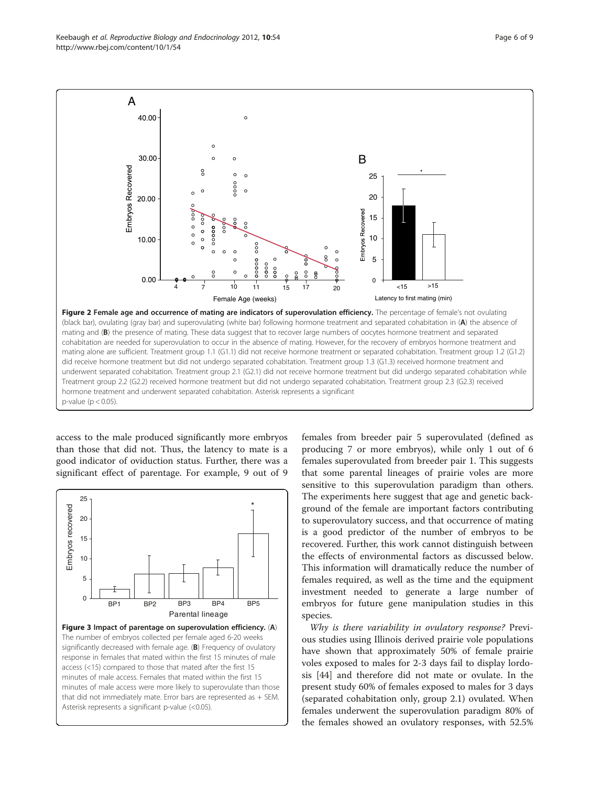access to the male produced significantly more embryos than those that did not. Thus, the latency to mate is a good indicator of oviduction status. Further, there was a significant effect of parentage. For example, 9 out of 9

p-value (p < 0.05).



females from breeder pair 5 superovulated (defined as producing 7 or more embryos), while only 1 out of 6 females superovulated from breeder pair 1. This suggests that some parental lineages of prairie voles are more sensitive to this superovulation paradigm than others. The experiments here suggest that age and genetic background of the female are important factors contributing to superovulatory success, and that occurrence of mating is a good predictor of the number of embryos to be recovered. Further, this work cannot distinguish between the effects of environmental factors as discussed below. This information will dramatically reduce the number of females required, as well as the time and the equipment investment needed to generate a large number of embryos for future gene manipulation studies in this species.

Why is there variability in ovulatory response? Previous studies using Illinois derived prairie vole populations have shown that approximately 50% of female prairie voles exposed to males for 2-3 days fail to display lordosis [[44\]](#page-8-0) and therefore did not mate or ovulate. In the present study 60% of females exposed to males for 3 days (separated cohabitation only, group 2.1) ovulated. When females underwent the superovulation paradigm 80% of the females showed an ovulatory responses, with 52.5%



 $\circ$ 

 $\epsilon$ 

 $\circ$ 

 $\circ$ 

 $\overline{8}$ 

25

B

\*

<span id="page-5-0"></span>Keebaugh *et al. Reproductive Biology and Endocrinology* 2012, 10:54 Page 6 of 9 http://www.rbej.com/content/10/1/54

A

40.00

30.00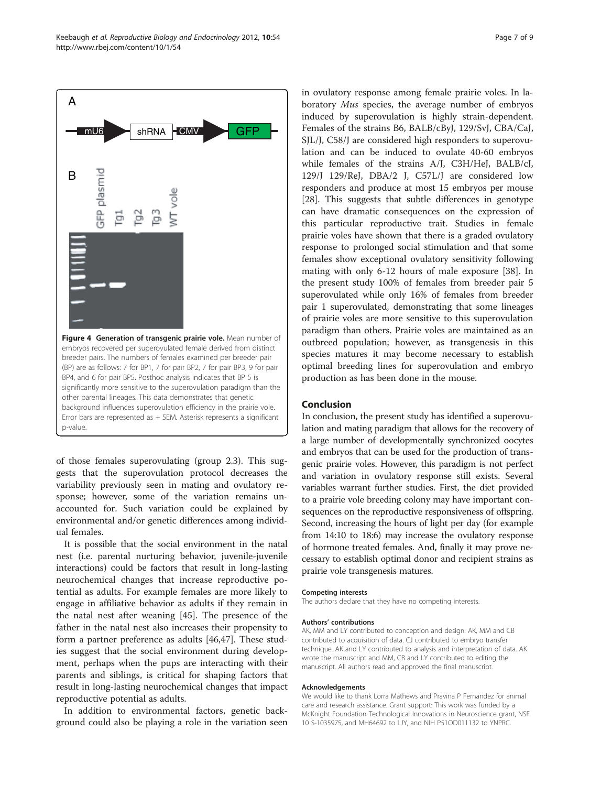of those females superovulating (group 2.3). This suggests that the superovulation protocol decreases the variability previously seen in mating and ovulatory response; however, some of the variation remains unaccounted for. Such variation could be explained by environmental and/or genetic differences among individual females.

It is possible that the social environment in the natal nest (i.e. parental nurturing behavior, juvenile-juvenile interactions) could be factors that result in long-lasting neurochemical changes that increase reproductive potential as adults. For example females are more likely to engage in affiliative behavior as adults if they remain in the natal nest after weaning [\[45](#page-8-0)]. The presence of the father in the natal nest also increases their propensity to form a partner preference as adults [[46,47\]](#page-8-0). These studies suggest that the social environment during development, perhaps when the pups are interacting with their parents and siblings, is critical for shaping factors that result in long-lasting neurochemical changes that impact reproductive potential as adults.

In addition to environmental factors, genetic background could also be playing a role in the variation seen in ovulatory response among female prairie voles. In laboratory Mus species, the average number of embryos induced by superovulation is highly strain-dependent. Females of the strains B6, BALB/cByJ, 129/SvJ, CBA/CaJ, SJL/J, C58/J are considered high responders to superovulation and can be induced to ovulate 40-60 embryos while females of the strains A/J, C3H/HeJ, BALB/cJ, 129/J 129/ReJ, DBA/2 J, C57L/J are considered low responders and produce at most 15 embryos per mouse [[28\]](#page-7-0). This suggests that subtle differences in genotype can have dramatic consequences on the expression of this particular reproductive trait. Studies in female prairie voles have shown that there is a graded ovulatory response to prolonged social stimulation and that some females show exceptional ovulatory sensitivity following mating with only 6-12 hours of male exposure [[38](#page-7-0)]. In the present study 100% of females from breeder pair 5 superovulated while only 16% of females from breeder pair 1 superovulated, demonstrating that some lineages of prairie voles are more sensitive to this superovulation paradigm than others. Prairie voles are maintained as an outbreed population; however, as transgenesis in this species matures it may become necessary to establish optimal breeding lines for superovulation and embryo production as has been done in the mouse.

#### Conclusion

In conclusion, the present study has identified a superovulation and mating paradigm that allows for the recovery of a large number of developmentally synchronized oocytes and embryos that can be used for the production of transgenic prairie voles. However, this paradigm is not perfect and variation in ovulatory response still exists. Several variables warrant further studies. First, the diet provided to a prairie vole breeding colony may have important consequences on the reproductive responsiveness of offspring. Second, increasing the hours of light per day (for example from 14:10 to 18:6) may increase the ovulatory response of hormone treated females. And, finally it may prove necessary to establish optimal donor and recipient strains as prairie vole transgenesis matures.

#### Competing interests

The authors declare that they have no competing interests.

#### Authors' contributions

AK, MM and LY contributed to conception and design. AK, MM and CB contributed to acquisition of data. CJ contributed to embryo transfer technique. AK and LY contributed to analysis and interpretation of data. AK wrote the manuscript and MM, CB and LY contributed to editing the manuscript. All authors read and approved the final manuscript.

#### Acknowledgements

We would like to thank Lorra Mathews and Pravina P Fernandez for animal care and research assistance. Grant support: This work was funded by a McKnight Foundation Technological Innovations in Neuroscience grant, NSF 10 S-1035975, and MH64692 to LJY, and NIH P51OD011132 to YNPRC.

<span id="page-6-0"></span>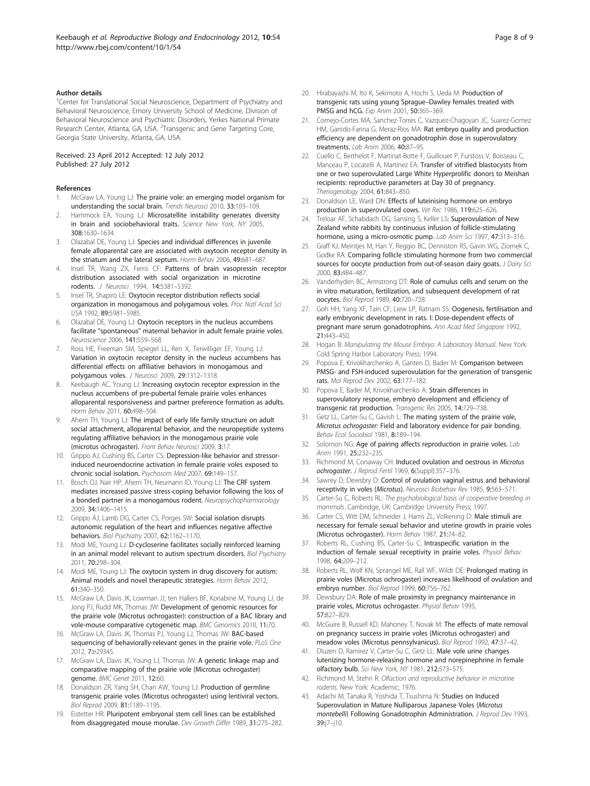#### <span id="page-7-0"></span>Author details

<sup>1</sup>Center for Translational Social Neuroscience, Department of Psychiatry and Behavioral Neuroscience, Emory University School of Medicine, Division of Behavioral Neuroscience and Psychiatric Disorders, Yerkes National Primate Research Center, Atlanta, GA, USA. <sup>2</sup>Transgenic and Gene Targeting Core, Georgia State University, Atlanta, GA, USA.

#### Received: 23 April 2012 Accepted: 12 July 2012 Published: 27 July 2012

#### References

- 1. McGraw LA, Young LJ: The prairie vole: an emerging model organism for understanding the social brain. Trends Neurosci 2010, 33:103–109.
- Hammock EA, Young LJ: Microsatellite instability generates diversity in brain and sociobehavioral traits. Science New York, NY 2005, 308:1630–1634.
- 3. Olazabal DE, Young LJ: Species and individual differences in juvenile female alloparental care are associated with oxytocin receptor density in the striatum and the lateral septum. Horm Behav 2006, 49:681–687.
- 4. Insel TR, Wang ZX, Ferris CF: Patterns of brain vasopressin receptor distribution associated with social organization in microtine rodents. J Neurosci 1994, 14:5381–5392.
- 5. Insel TR, Shapiro LE: Oxytocin receptor distribution reflects social organization in monogamous and polygamous voles. Proc Natl Acad Sci USA 1992, 89:5981–5985.
- Olazabal DE, Young LJ: Oxytocin receptors in the nucleus accumbens facilitate "spontaneous" maternal behavior in adult female prairie voles. Neuroscience 2006, 141:559–568.
- 7. Ross HE, Freeman SM, Spiegel LL, Ren X, Terwilliger EF, Young LJ: Variation in oxytocin receptor density in the nucleus accumbens has differential effects on affiliative behaviors in monogamous and polygamous voles. J Neurosci 2009, 29:1312–1318.
- 8. Keebaugh AC, Young LJ: Increasing oxytocin receptor expression in the nucleus accumbens of pre-pubertal female prairie voles enhances alloparental responsiveness and partner preference formation as adults. Horm Behav 2011, 60:498–504.
- 9. Ahern TH, Young LJ: The impact of early life family structure on adult social attachment, alloparental behavior, and the neuropeptide systems regulating affiliative behaviors in the monogamous prairie vole (microtus ochrogaster). Front Behav Neurosci 2009, 3:17.
- 10. Grippo AJ, Cushing BS, Carter CS: Depression-like behavior and stressorinduced neuroendocrine activation in female prairie voles exposed to chronic social isolation. Psychosom Med 2007, 69:149–157.
- 11. Bosch OJ, Nair HP, Ahern TH, Neumann ID, Young LJ: The CRF system mediates increased passive stress-coping behavior following the loss of a bonded partner in a monogamous rodent. Neuropsychopharmacology 2009, 34:1406–1415.
- 12. Grippo AJ, Lamb DG, Carter CS, Porges SW: Social isolation disrupts autonomic regulation of the heart and influences negative affective behaviors. Biol Psychiatry 2007, 62:1162–1170.
- 13. Modi ME, Young LJ: D-cycloserine facilitates socially reinforced learning in an animal model relevant to autism spectrum disorders. Biol Psychiatry 2011, 70:298–304.
- 14. Modi ME, Young LJ: The oxytocin system in drug discovery for autism: Animal models and novel therapeutic strategies. Horm Behav 2012, 61:340–350.
- 15. McGraw LA, Davis JK, Lowman JJ, ten Hallers BF, Koriabine M, Young LJ, de Jong PJ, Rudd MK, Thomas JW: Development of genomic resources for the prairie vole (Microtus ochrogaster): construction of a BAC library and vole-mouse comparative cytogenetic map. BMC Genomics 2010, 11:70.
- 16. McGraw LA, Davis JK, Thomas PJ, Young LJ, Thomas JW: BAC-based sequencing of behaviorally-relevant genes in the prairie vole. PLoS One 2012, 7:e29345.
- 17. McGraw LA, Davis JK, Young LJ, Thomas JW: A genetic linkage map and comparative mapping of the prairie vole (Microtus ochrogaster) genome. BMC Genet 2011, 12:60.
- 18. Donaldson ZR, Yang SH, Chan AW, Young LJ: Production of germline transgenic prairie voles (Microtus ochrogaster) using lentiviral vectors. Biol Reprod 2009, 81:1189–1195.
- 19. Eistetter HR: Pluripotent embryonal stem cell lines can be established from disaggregated mouse morulae. Dev Growth Differ 1989, 31:275–282.
- 20. Hirabayashi M, Ito K, Sekimoto A, Hochi S, Ueda M: Production of
- transgenic rats using young Sprague–Dawley females treated with PMSG and hCG. Exp Anim 2001, 50:365–369.
- 21. Cornejo-Cortes MA, Sanchez-Torres C, Vazquez-Chagoyan JC, Suarez-Gomez HM, Garrido-Farina G, Meraz-Rios MA: Rat embryo quality and production efficiency are dependent on gonadotrophin dose in superovulatory treatments. Lab Anim 2006, 40:87–95.
- 22. Cuello C, Berthelot F, Martinat-Botte F, Guillouet P, Furstoss V, Boisseau C, Manceau P, Locatelli A, Martinez EA: Transfer of vitrified blastocysts from one or two superovulated Large White Hyperprolific donors to Meishan recipients: reproductive parameters at Day 30 of pregnancy. Theriogenology 2004, 61:843–850.
- 23. Donaldson LE, Ward DN: Effects of luteinising hormone on embryo production in superovulated cows. Vet Rec 1986, 119:625–626.
- 24. Treloar AF, Schabdach DG, Sansing S, Keller LS: Superovulation of New Zealand white rabbits by continuous infusion of follicle-stimulating hormone, using a micro-osmotic pump. Lab Anim Sci 1997, 47:313-316.
- 25. Graff KJ, Meintjes M, Han Y, Reggio BC, Denniston RS, Gavin WG, Ziomek C, Godke RA: Comparing follicle stimulating hormone from two commercial sources for oocyte production from out-of-season dairy goats. J Dairy Sci 2000, 83:484–487.
- 26. Vanderhyden BC, Armstrong DT: Role of cumulus cells and serum on the in vitro maturation, fertilization, and subsequent development of rat oocytes. Biol Reprod 1989, 40:720–728.
- 27. Goh HH, Yang XF, Tain CF, Liew LP, Ratnam SS: Oogenesis, fertilisation and early embryonic development in rats. I: Dose-dependent effects of pregnant mare serum gonadotrophins. Ann Acad Med Singapore 1992, 21:443–450.
- 28. Hogan B: Manipulating the Mouse Embryo: A Laboratory Manual. New York: Cold Spring Harbor Laboratory Press; 1994.
- 29. Popova E, Krivokharchenko A, Ganten D, Bader M: Comparison between PMSG- and FSH-induced superovulation for the generation of transgenic rats. Mol Reprod Dev 2002, 63:177–182.
- 30. Popova E, Bader M, Krivokharchenko A: Strain differences in superovulatory response, embryo development and efficiency of transgenic rat production. Transgenic Res 2005, 14:729–738.
- 31. Getz LL, Carter-Su C, Gavish L: The mating system of the prairie vole, Microtus ochrogaster: Field and laboratory evidence for pair bonding. Behav Ecol Sociobiol 1981, 8:189–194.
- 32. Solomon NG: Age of pairing affects reproduction in prairie voles. Lab Anim 1991, 25:232–235.
- 33. Richmond M, Conaway CH: Induced ovulation and oestrous in Microtus ochrogaster. J Reprod Fertil 1969, 6(Suppl):357–376.
- 34. Sawrey D, Dewsbry D: Control of ovulation vaginal estrus and behavioral receptivity in voles (Microtus). Neurosci Biobehav Rev 1985, 9:563–571.
- 35. Carter-Su C, Roberts RL: The psychobiological basis of cooperative breeding in mammals. Cambridge, UK: Cambridge University Press; 1997.
- 36. Carter CS, Witt DM, Schneider J, Harris ZL, Volkening D: Male stimuli are necessary for female sexual behavior and uterine growth in prairie voles (Microtus ochrogaster). Horm Behav 1987, 21:74–82.
- 37. Roberts RL, Cushing BS, Carter-Su C: Intraspecific variation in the induction of female sexual receptivity in prairie voles. Physiol Behav 1998, 64:209–212.
- 38. Roberts RL, Wolf KN, Sprangel ME, Rall WF, Wildt DE: Prolonged mating in prairie voles (Microtus ochrogaster) increases likelihood of ovulation and embryo number. Biol Reprod 1999, 60:756–762.
- 39. Dewsbury DA: Role of male proximity in pregnancy maintenance in prairie voles, Microtus ochrogaster. Physiol Behav 1995, 57:827–829.
- 40. McGuire B, Russell KD, Mahoney T, Novak M: The effects of mate removal on pregnancy success in prairie voles (Microtus ochrogaster) and meadow voles (Microtus pennsylvanicus). Biol Reprod 1992, 47:37–42.
- 41. Dluzen D, Ramirez V, Carter-Su C, Getz LL: Male vole urine changes lutenizing hormone-releasing hormone and norepinephrine in female olfactory bulb. Sci New York, NY 1981, 212:573–575.
- 42. Richmond M, Stehn R: Olfaction and reproductive behavior in microtine rodents. New York: Academic; 1976.
- 43. Adachi M, Tanaka R, Yoshida T, Tsushima N: Studies on Induced Superovulation in Mature Nulliparous Japanese Voles (Microtus montebelli) Following Gonadotrophin Administration. J Reprod Dev 1993, 39:j7–j10.